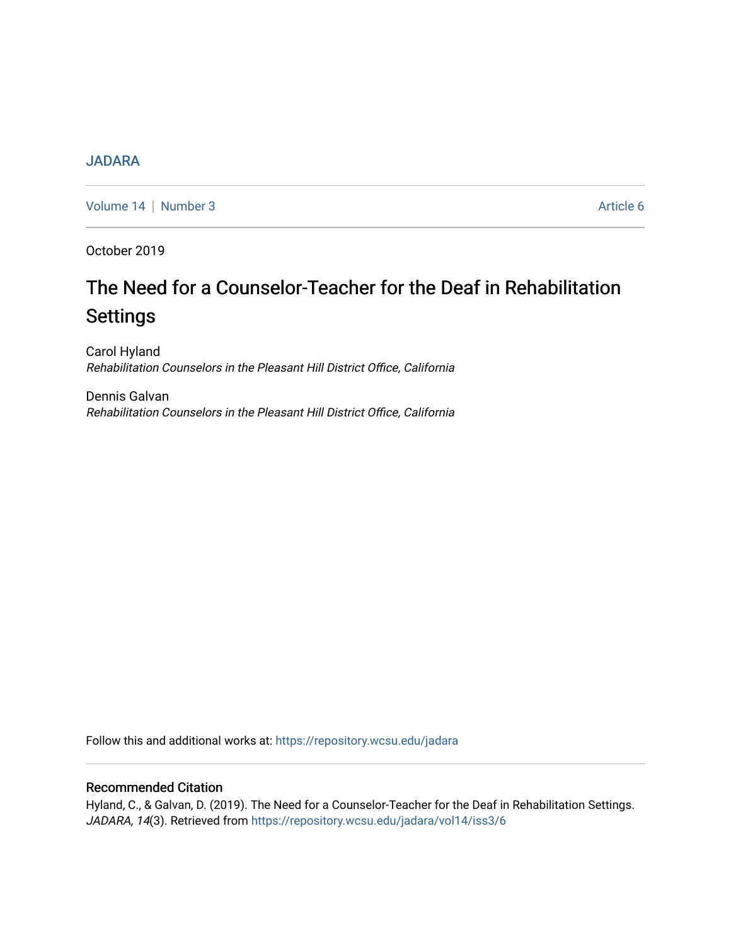# [JADARA](https://repository.wcsu.edu/jadara)

[Volume 14](https://repository.wcsu.edu/jadara/vol14) | [Number 3](https://repository.wcsu.edu/jadara/vol14/iss3) Article 6

October 2019

# The Need for a Counselor-Teacher for the Deaf in Rehabilitation Settings

Carol Hyland Rehabilitation Counselors in the Pleasant Hill District Office, California

Dennis Galvan Rehabilitation Counselors in the Pleasant Hill District Office, California

Follow this and additional works at: [https://repository.wcsu.edu/jadara](https://repository.wcsu.edu/jadara?utm_source=repository.wcsu.edu%2Fjadara%2Fvol14%2Fiss3%2F6&utm_medium=PDF&utm_campaign=PDFCoverPages)

## Recommended Citation

Hyland, C., & Galvan, D. (2019). The Need for a Counselor-Teacher for the Deaf in Rehabilitation Settings. JADARA, 14(3). Retrieved from [https://repository.wcsu.edu/jadara/vol14/iss3/6](https://repository.wcsu.edu/jadara/vol14/iss3/6?utm_source=repository.wcsu.edu%2Fjadara%2Fvol14%2Fiss3%2F6&utm_medium=PDF&utm_campaign=PDFCoverPages)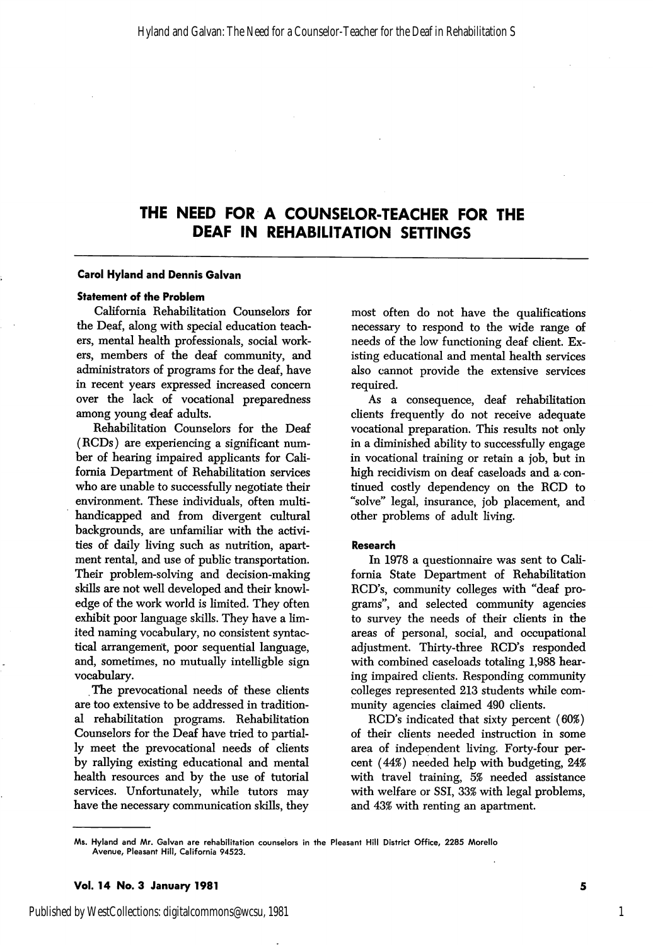# THE NEED FOR A COUNSELOR-TEACHER FOR THE DEAF IN REHABILITATION SETTINGS

#### Carol Hyland and Dennis Galvan

#### Statement of the Problem

California Rehabilitation Counselors for the Deaf, along with special education teach ers, mental health professionals, social work ers, members of the deaf community, and administrators of programs for the deaf, have in recent years expressed increased concern over the lack of vocational preparedness among young deaf adults.

Rehabilitation Counselors for the Deaf (RCDs) are experiencing a significant num ber of hearing impaired applicants for Cali fornia Department of Rehabilitation services who are unable to successfully negotiate their environment. These individuals, often multihandicapped and from divergent cultural backgrounds, are unfamiliar with the activi ties of daily living such as nutrition, apart ment rental, and use of public transportation. Their problem-solving and decision-making skills are not well developed and their knowl edge of the work world is limited. They often exhibit poor language skills. They have a lim ited naming vocabulary, no consistent syntac tical arrangement, poor sequential language, and, sometimes, no mutually intelligble sign vocabulary.

The prevocational needs of these clients are too extensive to be addressed in tradition al rehabilitation programs. Rehabilitation Counselors for the Deaf have tried to partial ly meet the prevocational needs of clients by rallying existing educational and mental health resources and by the use of tutorial services. Unfortunately, while tutors may have the necessary communication skills, they

most often do not have the qualifications necessary to respond to the wide range of needs of the low functioning deaf client. Ex isting educational and mental health services also cannot provide the extensive services required.

As a consequence, deaf rehabilitation clients frequently do not receive adequate vocational preparation. This results not only in a diminished ability to successfully engage in vocational training or retain a job, but in high recidivism on deaf caseloads and a- con tinued costly dependency on the RCD to "solve'' legal, insurance, job placement, and other problems of adult living.

#### Research

In 1978 a questionnaire was sent to Cali fornia State Department of Rehabilitation RCD's, community colleges with "deaf programs", and selected community agencies to survey the needs of their clients in the areas of personal, social, and occupational adjustment. Thirty-three RCD's responded with combined caseloads totaling 1,988 hear ing impaired clients. Responding community colleges represented 213 students while com munity agencies claimed 490 clients.

RCD's indicated that sixty percent (60%) of their clients needed instruction in some area of independent living. Forty-four per cent (44%) needed help with budgeting, 24% with travel training, 5% needed assistance with welfare or SSI, 33% with legal problems, and 43% with renting an apartment.

1

Ms. Hyland and Mr. Galvan are rehabilitation counselors in the Pleasant Hill District Office, 2285 Morello Avenue, Pleasant Hill, California 94523.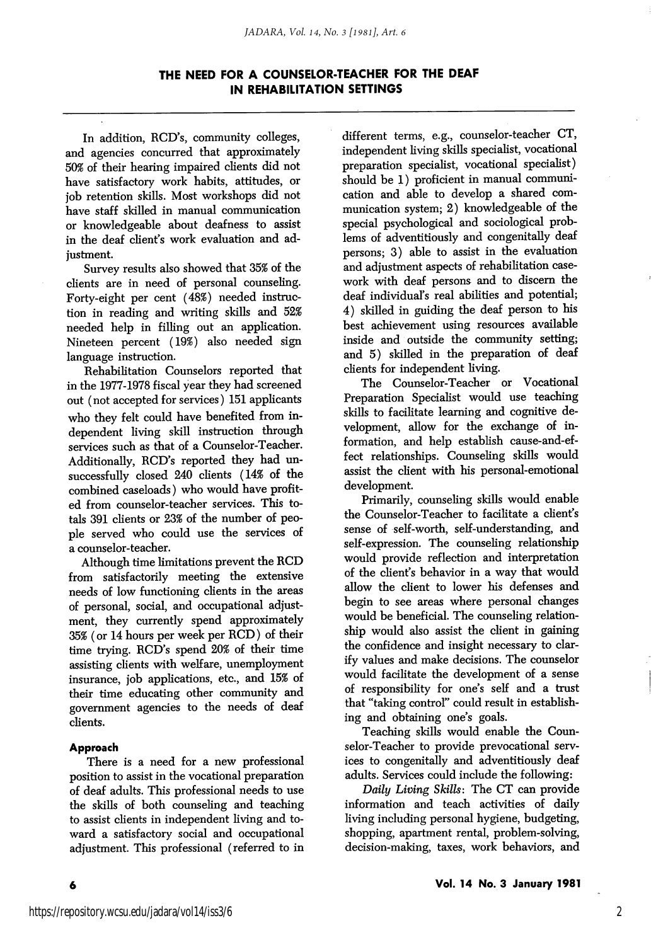## THE NEED FOR A COUNSELOR-TEACHER FOR THE DEAF IN REHABILITATION SETTINGS

In addition, RCD's, community colleges, and agencies concurred that approximately 50% of their hearing impaired clients did not have satisfactory work habits, attitudes, or job retention skills. Most workshops did not have staff skilled in manual communication or knowledgeable about deafness to assist in the deaf client's work evaluation and ad justment.

Survey results also showed that 35% of the clients are in need of personal counseling. Forty-eight per cent (48%) needed instruc tion in reading and writing skills and 52% needed help in filling out an application. Nineteen percent (19%) also needed sign language instruction.

Rehabilitation Counselors reported that in the 1977-1978 fiscal year they had screened out (not accepted for services) 151 applicants who they felt could have benefited from in dependent living skill instruction through services such as that of a Counselor-Teacher. Additionally, RCD's reported they had un successfully closed 240 clients (14% of the combined caseloads) who would have profit ed from counselor-teacher services. This to tals 391 clients or 23% of the number of peo ple served who could use the services of a counselor-teacher.

Although time limitations prevent the RCD from satisfactorily meeting the extensive needs of low functioning clients in the areas of personal, social, and occupational adjust ment, they currently spend approximately 35% (or 14 hours per week per RCD) of their time trying. RCD's spend 20% of their time assisting clients with welfare, unemployment insurance, job applications, etc., and 15% of their time educating other community and government agencies to the needs of deaf clients.

#### Approach

6

There is a need for a new professional position to assist in the vocational preparation of deaf adults. This professional needs to use the skills of both counseling and teaching to assist clients in independent living and to ward a satisfactory social and occupational adjustment. This professional (referred to in different terms, e.g., counselor-teacher CT, independent living skills specialist, vocational preparation specialist, vocational specialist) should be 1) proficient in manual communi cation and able to develop a shared com munication system; 2) knowledgeable of the special psychological and sociological prob lems of adventitiously and congenitally deaf persons; 3) able to assist in the evaluation and adjustment aspects of rehabilitation case work with deaf persons and to discern the deaf individual's real abilities and potential; 4) skilled in guiding the deaf person to his best achievement using resources available inside and outside the community setting; and 5) skilled in the preparation of deaf clients for independent living.

The Counselor-Teacher or Vocational Preparation Specialist would use teaching skills to facilitate learning and cognitive de velopment, allow for the exchange of in formation, and help establish cause-and-effect relationships. Counseling skills would assist the client with his personal-emotional development.

Primarily, counseling skills would enable the Counselor-Teacher to facilitate a client's sense of self-worth, self-understanding, and self-expression. The counseling relationship would provide reflection and interpretation of the client's behavior in a way that would allow the client to lower his defenses and begin to see areas where personal changes would be beneficial. The counseling relation ship would also assist the client in gaining the confidence and insight necessary to clar ify values and make decisions. The counselor would facilitate the development of a sense of responsibility for one's self and a trust that "taking control" could result in establish ing and obtaining one's goals.

Teaching skills would enable the Coun selor-Teacher to provide prevocational serv ices to congenitally and adventitiously deaf adults. Services could include the following:

Daily Living Skills: The CT can provide information and teach activities of daily living including personal hygiene, budgeting, shopping, apartment rental, problem-solving, decision-making, taxes, work behaviors, and